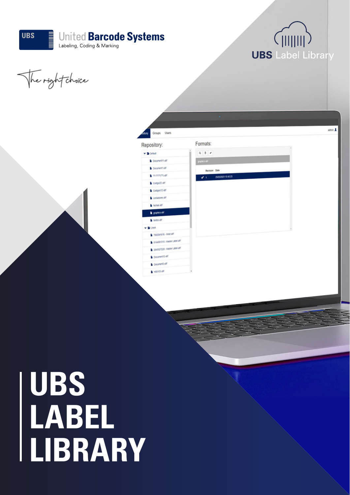



The right choice



# **UBS LABEL LIBRARY**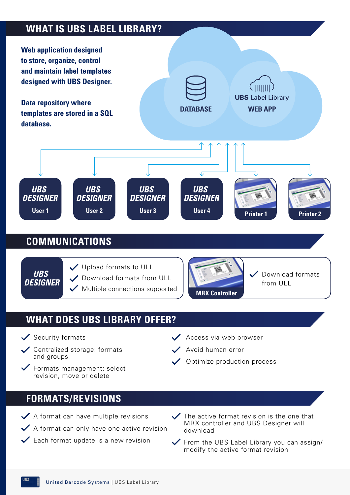## **WHAT IS UBS LABEL LIBRARY?**



### **COMMUNICATIONS**



Upload formats to ULL Download formats from ULL  $\checkmark$  Multiple connections supported



Download formats from ULL

## **WHAT DOES UBS LIBRARY OFFER?**

- $\checkmark$  Security formats
- Centralized storage: formats and groups
- Formats management: select revision, move or delete
- $\vee$  Access via web browser
	- Avoid human error
	- Optimize production process

## **FORMATS/REVISIONS**

 $\blacktriangleright$  A format can have multiple revisions

- $\checkmark$  A format can only have one active revision
- $\checkmark$  Each format update is a new revision
- $\checkmark$  The active format revision is the one that MRX controller and UBS Designer will download
- $\checkmark$  From the UBS Label Library you can assign/ modify the active format revision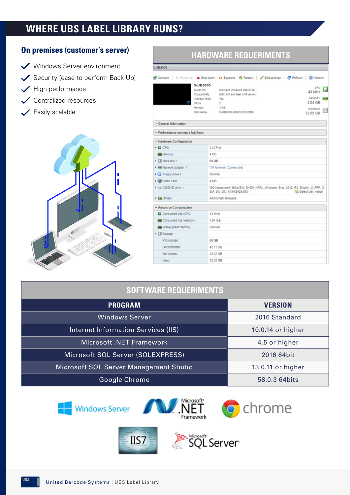## **WHERE UBS LABEL LIBRARY RUNS?**



#### **On premises (customer's server)**

 $\checkmark$  Security (ease to perform Back Up)

 $\checkmark$  High performance

Easily scalable

 $\checkmark$ 

Centralized resources

Windows Server environment **HARDWARE REQUERIMENTS**

| <b>J-UBS005</b>                 |                                  |                                                                                                                                     |  |
|---------------------------------|----------------------------------|-------------------------------------------------------------------------------------------------------------------------------------|--|
|                                 | <b>S-UBS005</b>                  | ※ Console   ▶ Poweron   Shutdown   Buspend © Restart   / Editsettings   C Refresh   卷 Actions<br>CPU                                |  |
|                                 | <b>Guest OS</b><br>Compatibility | Microsoft Windows Server 20<br>43 MHz<br>ESXI 6.0 and later (VM versio                                                              |  |
|                                 | <b>Wwere Tools</b><br>CPUs       | MEMORY SALE<br>Yes<br>4.04 GB<br>ž.                                                                                                 |  |
|                                 | Memory                           | 4 <sub>GB</sub><br><b>STORAGE</b>                                                                                                   |  |
|                                 | Host name                        | S-UBS005.UBSCODE.COM<br>22.02 GB                                                                                                    |  |
| General Information             |                                  |                                                                                                                                     |  |
| - Performance summary last hour |                                  |                                                                                                                                     |  |
| - Hardware Configuration        |                                  |                                                                                                                                     |  |
| $\mathsf{E}$ CPU                | 2 yCPUs                          |                                                                                                                                     |  |
| <b>ALL</b> Memory<br>4 GB       |                                  |                                                                                                                                     |  |
| Fill Hard disk 1<br>60 GB       |                                  |                                                                                                                                     |  |
| > Bill Network adapter 1        |                                  | VM Network (Connected)                                                                                                              |  |
| ▶ B Floppy drive 1              | Remote                           |                                                                                                                                     |  |
| video card                      | 4 MB                             |                                                                                                                                     |  |
| + bij CD/DVD drive 1            |                                  | ISO [datastore1] ISOs/SW_DVD9_NTRL_Windows_Svrs_2012_R2_English_2_FPP_O<br>EM Std DC X19-82429.ISO<br><b>Cità</b> Select disc image |  |
| <b>EN Others</b>                |                                  | Additional Hardware                                                                                                                 |  |
| - Resource Consumption          |                                  |                                                                                                                                     |  |
| Consumed host CPU<br>43 MHz     |                                  |                                                                                                                                     |  |
| Consumed host memory            |                                  | 4.04 GB                                                                                                                             |  |
| <b>ACTIVE QUEST MEMORY</b>      | 286 MB                           |                                                                                                                                     |  |
| $\mathbf{v}$ $\boxplus$ Storage |                                  |                                                                                                                                     |  |
| Provisioned                     |                                  | 60 GB                                                                                                                               |  |
| Uncommitted                     |                                  | 42.17 GB                                                                                                                            |  |
| Not-shared                      | 22.02 GB                         |                                                                                                                                     |  |
| <b>Used</b>                     | 22.02 GB                         |                                                                                                                                     |  |

#### **SOFTWARE REQUERIMENTS**

| <b>PROGRAM</b>                         | <b>VERSION</b>    |
|----------------------------------------|-------------------|
| <b>Windows Server</b>                  | 2016 Standard     |
| Internet Information Services (IIS)    | 10.0.14 or higher |
| Microsoft .NET Framework               | 4.5 or higher     |
| Microsoft SQL Server (SQLEXPRESS)      | 2016 64bit        |
| Microsoft SQL Server Management Studio | 13.0.11 or higher |
| Google Chrome                          | 58.0.3 64 bits    |